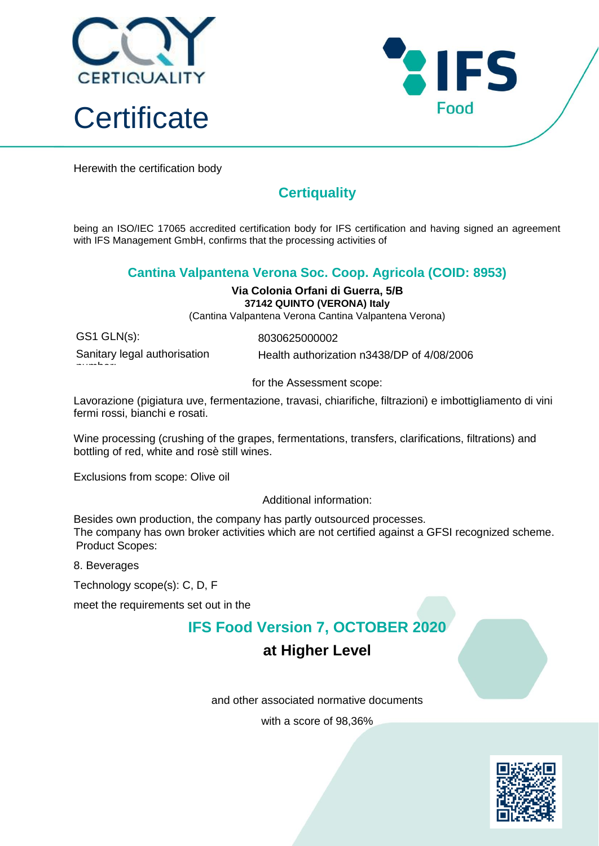



Herewith the certification body

## **Certiquality**

being an ISO/IEC 17065 accredited certification body for IFS certification and having signed an agreement with IFS Management GmbH, confirms that the processing activities of

#### **Cantina Valpantena Verona Soc. Coop. Agricola (COID: 8953)**

#### **Via Colonia Orfani di Guerra, 5/B 37142 QUINTO (VERONA) Italy**

(Cantina Valpantena Verona Cantina Valpantena Verona)

GS1 GLN(s): 8030625000002

number:

Sanitary legal authorisation Health authorization n3438/DP of 4/08/2006

for the Assessment scope:

Lavorazione (pigiatura uve, fermentazione, travasi, chiarifiche, filtrazioni) e imbottigliamento di vini fermi rossi, bianchi e rosati.

Wine processing (crushing of the grapes, fermentations, transfers, clarifications, filtrations) and bottling of red, white and rosè still wines.

Exclusions from scope: Olive oil

Additional information:

Besides own production, the company has partly outsourced processes. The company has own broker activities which are not certified against a GFSI recognized scheme. Product Scopes:

8. Beverages

Technology scope(s): C, D, F

meet the requirements set out in the

### **IFS Food Version 7, OCTOBER 2020**

### **at Higher Level**

and other associated normative documents

with a score of 98,36%